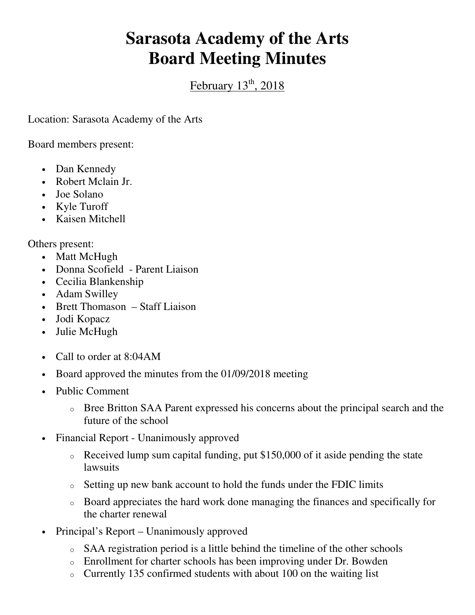## **Sarasota Academy of the Arts Board Meeting Minutes**

February  $13<sup>th</sup>$ , 2018

Location: Sarasota Academy of the Arts

Board members present:

- Dan Kennedy
- Robert Mclain Jr.
- Joe Solano
- Kyle Turoff
- Kaisen Mitchell

Others present:

- Matt McHugh
- Donna Scofield Parent Liaison
- Cecilia Blankenship
- Adam Swilley
- Brett Thomason Staff Liaison
- Jodi Kopacz
- Julie McHugh
- Call to order at 8:04 AM
- Board approved the minutes from the 01/09/2018 meeting
- Public Comment
	- o Bree Britton SAA Parent expressed his concerns about the principal search and the future of the school
- Financial Report Unanimously approved
	- o Received lump sum capital funding, put \$150,000 of it aside pending the state lawsuits
	- o Setting up new bank account to hold the funds under the FDIC limits
	- o Board appreciates the hard work done managing the finances and specifically for the charter renewal
- Principal's Report Unanimously approved
	- o SAA registration period is a little behind the timeline of the other schools
	- o Enrollment for charter schools has been improving under Dr. Bowden
	- o Currently 135 confirmed students with about 100 on the waiting list